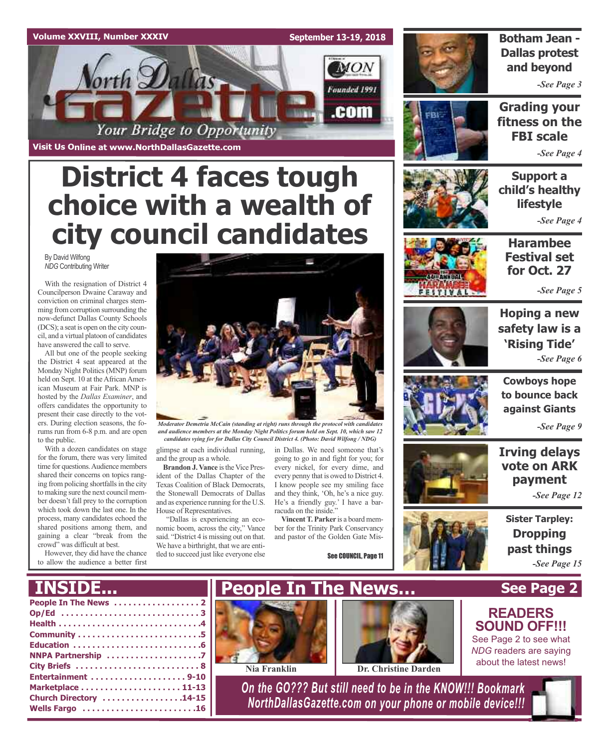### **Volume XXVIII, Number XXXIV**

**Visit Us Online at www.NorthDallasGazette.com**

**September 13-19, 2018**

**MON** 

Founded 1991

.com



**BI** 

## **Botham Jean - Dallas protest and beyond**

*-See Page 3*

**Grading your fitness on the FBI scale**

*-See Page 4*

**Support a child's healthy lifestyle**

*-See Page 4*



**Harambee Festival set for Oct. 27**

*-See Page 5*



**Hoping a new safety law is a 'Rising Tide'** *-See Page 6*



**Cowboys hope to bounce back against Giants**

*-See Page 9*

## **Irving delays vote on ARK payment**

*-See Page 12*

**Sister Tarpley: Dropping past things** *-See Page 15*

**READERS SOUND OFF!!!** See Page 2 to see what *NDG* readers are saying about the latest news!

*Moderator Demetria McCain (standing at right) runs through the protocol with candidates and audience members at the Monday Night Politics forum held on Sept. 10, which saw 12 candidates vying for for Dallas City Council District 4. (Photo: David Wilfong / NDG)*

glimpse at each individual running, in Dallas. We need someone that's and the group as a whole.

**District 4 faces tough**

Your Bridge to Opportunity

**choice with a wealth of**

**city council candidates**

**Brandon J. Vance** is the Vice President of the Dallas Chapter of the Texas Coalition of Black Democrats, the Stonewall Democrats of Dallas and as experience running forthe U.S. House of Representatives.

"Dallas is experiencing an economic boom, across the city," Vance said. "District 4 is missing out on that. We have a birthright, that we are entitled to succeed just like everyone else

going to go in and fight for you; for every nickel, for every dime, and every penny that is owed to District 4. I know people see my smiling face and they think, 'Oh, he's a nice guy. He's a friendly guy.' I have a barracuda on the inside."

**VincentT. Parker** is a board member for the Trinity Park Conservancy and pastor of the Golden Gate Mis-



## **See Page 2** See COUNCIL, Page 11 **People In The News…**

## **INSID**

crowd" was difficult at best.

However, they did have the chance to allow the audience a better first

to the public.

By David Wilfong *NDG* Contributing Writer

With the resignation of District 4 Councilperson Dwaine Caraway and conviction on criminal charges stemming from corruption surrounding the now-defunct Dallas County Schools (DCS); a seat is open on the city council, and a virtual platoon of candidates have answered the call to serve.

All but one of the people seeking the District 4 seat appeared at the Monday Night Politics (MNP) forum held on Sept. 10 at the African American Museum at Fair Park. MNP is hosted by the *Dallas Examiner*, and offers candidates the opportunity to present their case directly to the voters. During election seasons, the forums run from 6-8 p.m. and are open

With a dozen candidates on stage for the forum, there was very limited time for questions. Audience members shared their concerns on topics ranging from policing shortfalls in the city to making sure the next council member doesn't fall prey to the corruption which took down the last one. In the process, many candidates echoed the shared positions among them, and gaining a clear "break from the





**Nia Franklin Dr. Christine Darden**

*On the GO??? But still need to be in the KNOW!!! Bookmark NorthDallasGazette.com on your phone or mobile device!!!*

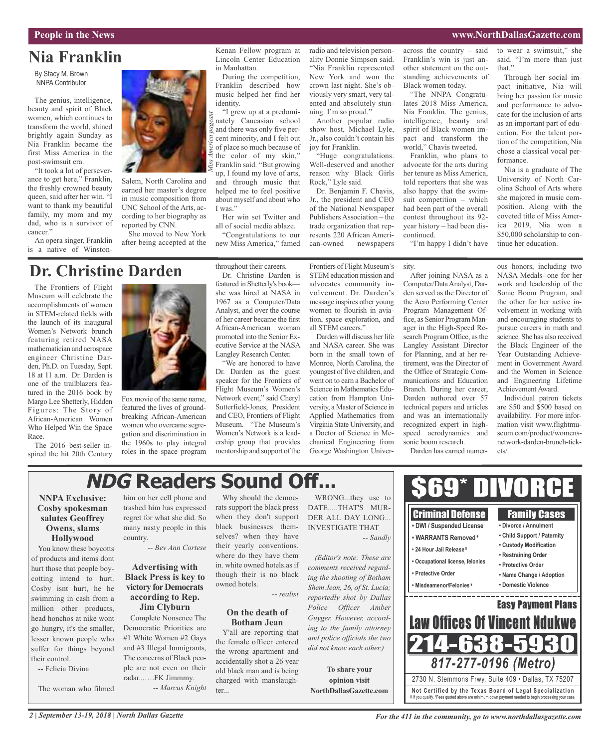## **People in the News www.NorthDallasGazette.com**

that."

formance.

to wear a swimsuit," she said. "I'm more than just

Through her social impact initiative, Nia will bring her passion for music and performance to advocate for the inclusion of arts as an important part of education. For the talent portion of the competition, Nia chose a classical vocal per-

Nia is a graduate of The University of North Carolina School of Arts where she majored in music composition. Along with the coveted title of Miss America 2019, Nia won a \$50,000 scholarship to con-

## **Nia Franklin**

By Stacy M. Brown NNPA Contributor

The genius, intelligence, beauty and spirit of Black women, which continues to transform the world, shined brightly again Sunday as Nia Franklin became the first Miss America in the post-swimsuit era.

"It took a lot of perseverance to get here," Franklin, the freshly crowned beauty queen, said after her win. "I want to thank my beautiful family, my mom and my dad, who is a survivor of cancer."

An opera singer, Franklin is a native of Winston-



Salem, North Carolina and earned her master's degree in music composition from UNC School of the Arts, according to her biography as reported by CNN.

She moved to New York after being accepted at the

Kenan Fellow program at Lincoln Center Education in Manhattan.

During the competition, Franklin described how music helped her find her identity.

"I grew up at a predominately Caucasian school and there was only five percent minority, and I felt out of place so much because of the color of my skin," Franklin said. "But growing up, I found my love of arts, and through music that helped me to feel positive about myself and about who I was." *Miss A merica pageant*

Her win set Twitter and all of social media ablaze.

"Congratulations to our new Miss America," famed radio and television personality Donnie Simpson said. "Nia Franklin represented New York and won the crown last night. She's obviously very smart, very talented and absolutely stunning. I'm so proud."

Another popular radio show host, Michael Lyle, Jr., also couldn't contain his joy for Franklin.

"Huge congratulations. Well-deserved and another reason why Black Girls Rock," Lyle said.

Dr. Benjamin F. Chavis, Jr., the president and CEO of the National Newspaper Publishers Association – the trade organization that represents 220 African American-owned newspapers

across the country – said Franklin's win is just another statement on the outstanding achievements of Black women today.

"The NNPA Congratulates 2018 Miss America, Nia Franklin. The genius, intelligence, beauty and spirit of Black women impact and transform the world," Chavis tweeted.

Franklin, who plans to advocate for the arts during her tenure as Miss America, told reporters that she was also happy that the swimsuit competition – which had been part of the overall contest throughout its 92 year history – had been discontinued.

"I'm happy I didn't have

sity.

## **Dr. Christine Darden**

The Frontiers of Flight Museum will celebrate the accomplishments of women in STEM-related fields with the launch of its inaugural Women's Network brunch featuring retired NASA mathematician and aerospace engineer Christine Darden, Ph.D. on Tuesday, Sept. 18 at 11 a.m. Dr. Darden is one of the trailblazers featured in the 2016 book by Margo Lee Shetterly, Hidden Figures: The Story of African-American Women Who Helped Win the Space Race.

The 2016 best-seller inspired the hit 20th Century



Fox movie of the same name, featured the lives of groundbreaking African-American women who overcame segregation and discrimination in the 1960s to play integral roles in the space program throughout their careers. Dr. Christine Darden is featured in Shetterly's book she was hired at NASA in 1967 as a Computer/Data Analyst, and over the course of her career became the first African-American woman promoted into the Senior Executive Service at the NASA Langley Research Center.

"We are honored to have Dr. Darden as the guest speaker for the Frontiers of Flight Museum's Women's Network event," said Cheryl Sutterfield-Jones, President and CEO, Frontiers of Flight Museum. "The Museum's Women's Network is a leadership group that provides mentorship and support of the

Frontiers of Flight Museum's STEM education mission and advocates community involvement. Dr. Darden's message inspires other young women to flourish in aviation, space exploration, and all STEM careers."

Darden will discuss her life and NASA career. She was born in the small town of Monroe, North Carolina, the youngest of five children, and went on to earn a Bachelor of Science in Mathematics Education from Hampton University, a Master of Science in Applied Mathematics from Virginia State University, and a Doctor of Science in Mechanical Engineering from George Washington Univer-

After joining NASA as a Computer/DataAnalyst, Darden served as the Director of the Aero Performing Center Program Management Office, as Senior Program Manager in the High-Speed Research Program Office, as the Langley Assistant Director for Planning, and at her retirement, was the Director of the Office of Strategic Communications and Education Branch. During her career, Darden authored over 57 technical papers and articles and was an internationally recognized expert in highspeed aerodynamics and sonic boom research.

Darden has earned numer-

ous honors, including two NASA Medals--one for her work and leadership of the Sonic Boom Program, and the other for her active involvement in working with and encouraging students to pursue careers in math and science. She has also received the Black Engineer of the Year Outstanding Achievement in Government Award and the Women in Science and Engineering Lifetime Achievement Award.

tinue her education.

Individual patron tickets are \$50 and \$500 based on availability. For more information visit www.flightmuseum.com/product/womensnetwork-darden-brunch-tickets/.

## **NDG Readers Sound Off...**

## **NNPA Exclusive: Cosby spokesman salutes Geoffrey Owens, slams Hollywood**

You know these boycotts of products and items dont hurt those that people boycotting intend to hurt. Cosby isnt hurt, he he swimming in cash from a million other products, head honchos at nike wont go hungry, it's the smaller, lesser known people who suffer for things beyond their control.

-- Felicia Divina

The woman who filmed

him on her cell phone and trashed him has expressed regret for what she did. So many nasty people in this country.

*-- Bev Ann Cortese*

### **Advertising with Black Press is key to victory for Democrats according to Rep. Jim Clyburn**

Complete Nonsence The Democratic Priorities are #1 White Women #2 Gays and #3 Illegal Immigrants, The concerns of Black people are not even on their radar...….FK Jimmmy. *-- Marcus Knight*

Why should the democrats support the black press when they don't support black businesses themselves? when they have their yearly conventions. where do they have them in. white owned hotels.as if though their is no black

*-- realist*

### **On the death of Botham Jean**

owned hotels.

Y'all are reporting that the female officer entered the wrong apartment and accidentally shot a 26 year old black man and is being charged with manslaughter...

WRONG...they use to DATE.....THAT'S MUR-DER ALL DAY LONG... INVESTIGATE THAT *-- Sandly*

*(Editor's note: These are comments received regarding the shooting of Botham Shem Jean, 26, of St. Lucia; reportedly shot by Dallas Police Officer Amber Guyger. However, according to the family attorney and police officials the two did not know each other.)*

**To share your opinion visit NorthDallasGazette.com**



*2 | September 13-19, 2018 | North Dallas Gazette*

*For the 411 in the community, go to www.northdallasgazette.com*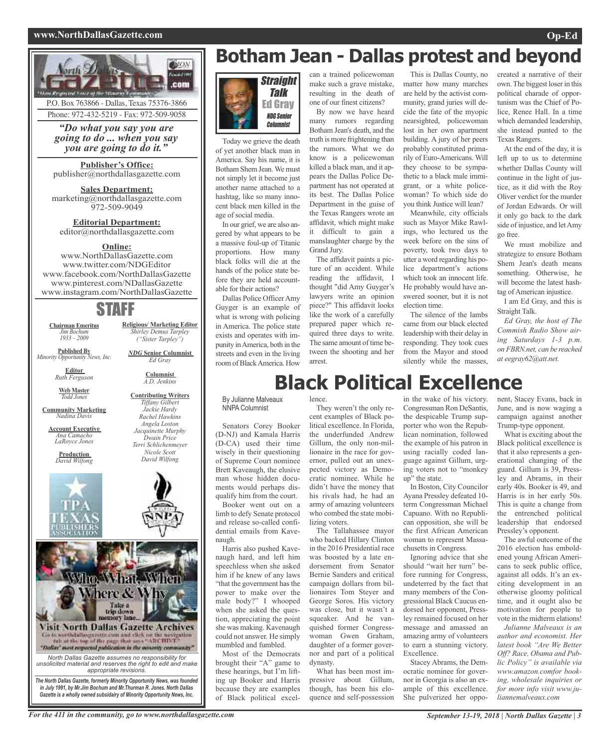### **www.NorthDallasGazette.com Op-Ed**



P.O. Box 763866 - Dallas, Texas 75376-3866 Phone: 972-432-5219 - Fax: 972-509-9058

*"Do what you say you are going to do ... when you say you are going to do it."*

**Publisher's Office:** publisher@northdallasgazette.com

**Sales Department:** marketing@northdallasgazette.com 972-509-9049

**Editorial Department:** editor@northdallasgazette.com

## **Online:**

www.NorthDallasGazette.com www.twitter.com/NDGEditor www.facebook.com/NorthDallasGazette www.pinterest.com/NDallasGazette www.instagram.com/NorthDallasGazette

## STAFF

**Religious/ Marketing Editor** *Shirley Demus Tarpley ("Sister Tarpley") NDG* **Senior Columnist** *Ed Gray* **Columnist** *A.D. Jenkins* **Contributing Writers** *Tiffany Gilbert Jackie Hardy Rachel Hawkins*

**Chairman Emeritus** *Jim Bochum 1933 – 2009*

**Published By** *Minority Opportunity News, Inc.*

> **Editor** *Ruth Ferguson*

**Web Master** *Todd Jones*

**Community Marketing** *Nadina Davis*

**Account Executive** *Ana Camacho LaRoyce Jones*

*Angela Loston Jacquinette Murphy Dwain Price Terri Schlichenmeyer Nicole Scott David Wilfong*



## **Botham Jean - Dallas protest and beyond**



Today we grieve the death of yet another black man in America. Say his name, it is Botham Shem Jean.We must not simply let it become just another name attached to a hashtag, like so many innocent black men killed in the age of social media.

In our grief, we are also angered by what appears to be a massive foul-up of Titanic proportions. How many black folks will die at the hands of the police state before they are held accountable for their actions?

Dallas Police OfficerAmy Guyger is an example of what is wrong with policing in America. The police state exists and operates with impunity inAmerica, both in the streets and even in the living room ofBlackAmerica. How

can a trained policewoman make such a grave mistake, resulting in the death of one of our finest citizens?

By now we have heard many rumors regarding Botham Jean's death, and the truth is more frightening than the rumors. What we do know is a policewoman killed a black man, and it appears the Dallas Police Department has not operated at its best. The Dallas Police Department in the guise of the Texas Rangers wrote an affidavit, which might make it difficult to gain a manslaughter charge by the Grand Jury.

The affidavit paints a picture of an accident. While reading the affidavit, I thought "did Amy Guyger's lawyers write an opinion piece?" This affidavit looks like the work of a carefully prepared paper which required three days to write. The same amount of time between the shooting and her arrest.

This is Dallas County, no matter how many marches are held by the activist community, grand juries will decide the fate of the myopic nearsighted, policewoman lost in her own apartment building. A jury of her peers probably constituted primarily of Euro-Americans. Will they choose to be sympathetic to a black male immigrant, or a white policewoman? To which side do you think Justice will lean? Meanwhile, city officials

such as Mayor Mike Rawlings, who lectured us the week before on the sins of poverty, took two days to utter a word regarding his police department's actions which took an innocent life. He probably would have answered sooner, but it is not election time.

The silence of the lambs came from our black elected leadership with their delay in responding. They took cues from the Mayor and stood silently while the masses, created a narrative of their own.The biggest loser in this political charade of opportunism was the Chief of Police, Renee Hall. In a time which demanded leadership, she instead punted to the Texas Rangers.

At the end of the day, it is left up to us to determine whether Dallas County will continue in the light of justice, as it did with the Roy Oliver verdict for the murder of Jordan Edwards. Or will it only go back to the dark side of injustice, and letAmy go free.

We must mobilize and strategize to ensure Botham Shem Jean's death means something. Otherwise, he will become the latest hashtag of American injustice.

I am Ed Gray, and this is Straight Talk.

*Ed Gray, the host of The Commish Radio Show airing Saturdays 1-3 p.m. on FBRN.net, can be reached at eegray62@att.net.*

## **Black Political Excellence**

By Julianne Malveaux NNPA Columnist

Senators Corey Booker (D-NJ) and Kamala Harris (D-CA) used their time wisely in their questioning of Supreme Court nominee Brett Kaveaugh, the elusive man whose hidden documents would perhaps disqualify him from the court. Booker went out on a

limb to defy Senate protocol and release so-called confidential emails from Kavenaugh.

Harris also pushed Kavenaugh hard, and left him speechless when she asked him if he knew of any laws "that the government has the power to make over the male body?" I whooped when she asked the question, appreciating the point she was making. Kavenaugh could not answer. He simply mumbled and fumbled.

Most of the Democrats brought their "A" game to these hearings, but I'm lifting up Booker and Harris because they are examples of Black political excel-

## lence. They weren't the only recent examples of Black po-

litical excellence. In Florida, the underfunded Andrew Gillum, the only non-millionaire in the race for governor, pulled out an unexpected victory as Democratic nominee. While he didn't have the money that his rivals had, he had an army of amazing volunteers who combed the state mobilizing voters.

The Tallahassee mayor who backed Hillary Clinton in the 2016 Presidential race was boosted by a late endorsement from Senator Bernie Sanders and critical campaign dollars from billionaires Tom Steyer and George Soros. His victory was close, but it wasn't a squeaker. And he vanquished former Congresswoman Gwen Graham, daughter of a former governor and part of a political dynasty.

What has been most impressive about Gillum, though, has been his eloquence and self-possession

in the wake of his victory. Congressman Ron DeSantis, the despicable Trump supporter who won the Republican nomination, followed the example of his patron in using racially coded language against Gillum, urging voters not to "monkey up" the state.

In Boston, City Councilor Ayana Pressley defeated 10 term Congressman Michael Capuano. With no Republican opposition, she will be the first African American woman to represent Massachusetts in Congress.

Ignoring advice that she should "wait her turn" before running for Congress, undeterred by the fact that many members of the Congressional Black Caucus endorsed her opponent, Pressley remained focused on her message and amassed an amazing army of volunteers to earn a stunning victory. Excellence.

Stacey Abrams, the Democratic nominee for governor in Georgia is also an example of this excellence. She pulverized her opponent, Stacey Evans, back in June, and is now waging a campaign against another Trump-type opponent.

What is exciting about the Black political excellence is that it also represents a generational changing of the guard. Gillum is 39, Pressley and Abrams, in their early 40s. Booker is 49, and Harris is in her early 50s. This is quite a change from the entrenched political leadership that endorsed Pressley's opponent.

The awful outcome of the 2016 election has emboldened young African Americans to seek public office, against all odds. It's an exciting development in an otherwise gloomy political time, and it ought also be motivation for people to vote in the midterm elations!

*Julianne Malveaux is an author and economist. Her latest book "Are We Better Off? Race, Obama and Public Policy" is available via www.amazon.comfor booking, wholesale inquiries or for more info visit www.juliannemalveaux.com*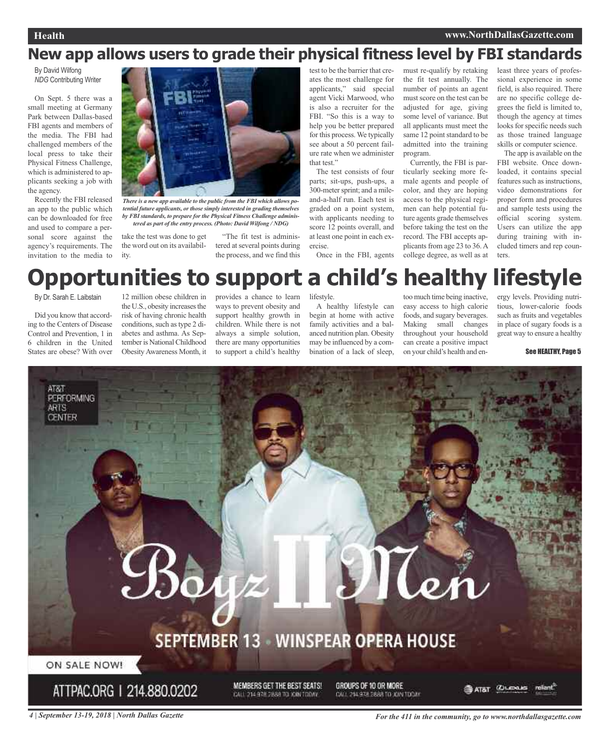## **New app allows users to grade their physical fitness level by FBI standards**

By David Wilfong *NDG* Contributing Writer

On Sept. 5 there was a small meeting at Germany Park between Dallas-based FBI agents and members of the media. The FBI had challenged members of the local press to take their Physical Fitness Challenge, which is administered to applicants seeking a job with the agency.

Recently the FBI released an app to the public which can be downloaded for free and used to compare a personal score against the agency's requirements. The invitation to the media to



*There is a new app available to the public from the FBI which allows potential future applicants, or those simply interested in grading themselves by FBI standards, to prepare for the Physical Fitness Challenge administered as part of the entry process. (Photo: David Wilfong / NDG)*

take the test was done to get the word out on its availability.

"The fit test is administered at several points during the process, and we find this test to be the barrier that creates the most challenge for applicants," said special agent Vicki Marwood, who is also a recruiter for the FBI. "So this is a way to help you be better prepared for this process. We typically see about a 50 percent failure rate when we administer that test."

The test consists of four parts; sit-ups, push-ups, a 300-metersprint; and a mileand-a-half run. Each test is graded on a point system, with applicants needing to score 12 points overall, and at least one point in each exercise.

Once in the FBI, agents

must re-qualify by retaking the fit test annually. The number of points an agent must score on the test can be adjusted for age, giving some level of variance. But all applicants must meet the same 12 point standard to be admitted into the training program.

Currently, the FBI is particularly seeking more female agents and people of color, and they are hoping access to the physical regimen can help potential future agents grade themselves before taking the test on the record. The FBI accepts applicants from age 23 to 36. A college degree, as well as at least three years of professional experience in some field, is also required. There are no specific college degrees the field is limited to, though the agency at times looks for specific needs such as those trained language skills or computer science.

The app is available on the FBI website. Once downloaded, it contains special features such as instructions, video demonstrations for proper form and procedures and sample tests using the official scoring system. Users can utilize the app during training with included timers and rep counters.

## **Opportunities to support a child's healthy lifestyle**

By Dr. Sarah E. Laibstain

Did you know that according to the Centers of Disease Control and Prevention, 1 in 6 children in the United States are obese? With over

12 million obese children in the U.S., obesity increases the risk of having chronic health conditions, such as type 2 diabetes and asthma. As September is National Childhood ObesityAwareness Month, it

provides a chance to learn ways to prevent obesity and support healthy growth in children. While there is not always a simple solution, there are many opportunities to support a child's healthy

lifestyle.

A healthy lifestyle can begin at home with active family activities and a balanced nutrition plan. Obesity may be influenced by a combination of a lack of sleep,

too much time being inactive, easy access to high calorie foods, and sugary beverages. Making small changes throughout your household can create a positive impact on your child's health and energy levels. Providing nutritious, lower-calorie foods such as fruits and vegetables in place of sugary foods is a great way to ensure a healthy

See HEALTHY, Page 5



4 | September 13-19, 2018 | North Dallas Gazette **September 13-19, 2018 | North Dallas Gazette**.com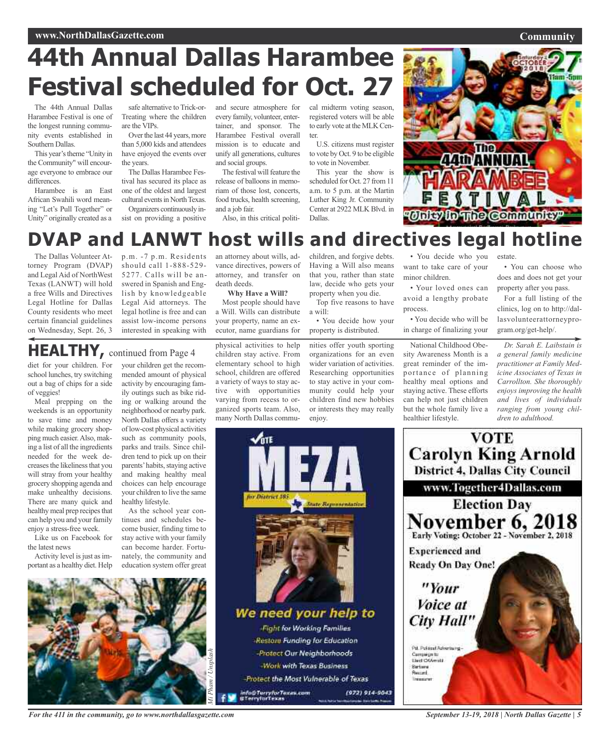### **Community**

## **44th Annual Dallas Harambee Festival scheduled for Oct. 27**

The 44th Annual Dallas Harambee Festival is one of the longest running community events established in Southern Dallas.

This year's theme "Unity in the Community" will encourage everyone to embrace our differences.

Harambee is an East African Swahili word meaning "Let's Pull Together" or Unity" originally created as a

safe alternative to Trick-or-Treating where the children are the VIPs.

Over the last 44 years, more than 5,000 kids and attendees have enjoyed the events over the years.

The Dallas Harambee Festival has secured its place as one of the oldest and largest cultural events in North Texas.

Organizers continuously insist on providing a positive and secure atmosphere for every family, volunteer, entertainer, and sponsor. The Harambee Festival overall mission is to educate and unify all generations, cultures and social groups.

The festival will feature the release of balloons in memoriam of those lost, concerts, food trucks, health screening, and a job fair.

Also, in this critical politi-

cal midterm voting season, registered voters will be able to early vote at the MLK Center.

U.S. citizens must register to vote by Oct. 9 to be eligible to vote in November.

This year the show is scheduled for Oct. 27 from 11 a.m. to 5 p.m. at the Martin Luther King Jr. Community Center at 2922 MLK Blvd. in Dallas.



## **DVAP and LANWT host wills and directives legal hotline**

The Dallas Volunteer Attorney Program (DVAP) and Legal Aid of NorthWest Texas (LANWT) will hold a free Wills and Directives Legal Hotline for Dallas County residents who meet certain financial guidelines on Wednesday, Sept. 26, 3

p.m. -7 p.m. Residents should call 1-888-529- 5277. Calls will be answered in Spanish and English by knowledgeable Legal Aid attorneys. The legal hotline is free and can assist low-income persons interested in speaking with

an attorney about wills, advance directives, powers of attorney, and transfer on death deeds. **Why Have a Will?**

### Most people should have a Will. Wills can distribute your property, name an executor, name guardians for

## **HEALTHY,** continued from Page <sup>4</sup>

diet for your children. For school lunches, try switching out a bag of chips for a side of veggies!

Meal prepping on the weekends is an opportunity to save time and money while making grocery shopping much easier.Also, making a list of all the ingredients needed for the week decreasesthe likelinessthat you will stray from your healthy grocery shopping agenda and make unhealthy decisions. There are many quick and healthy meal prep recipes that can help you and your family enjoy a stress-free week.

Like us on Facebook for the latest news

Activity level is just as important as a healthy diet. Help

your children get the recommended amount of physical activity by encouraging family outings such as bike riding or walking around the neighborhood or nearby park. North Dallas offers a variety of low-cost physical activities such as community pools, parks and trails. Since children tend to pick up on their parents' habits, staying active and making healthy meal choices can help encourage your children to live the same healthy lifestyle.

As the school year continues and schedules become busier, finding time to stay active with your family can become harder. Fortunately, the community and education system offer great physical activities to help children stay active. From elementary school to high school, children are offered a variety of ways to stay active with opportunities varying from recess to organized sports team. Also, many North Dallas commu-

We need your help to

**Fight for Working Families** Restore Funding for Education

-Protect Our Neighborhoods

**Work with Texas Business** 

info⊕Terry*forTexas.com*<br>¤TerryforTexas

Protect the Most Vulnerable of Texas

children, and forgive debts. Having a Will also means that you, rather than state law, decide who gets your property when you die.

Top five reasons to have a will:

• You decide how your property is distributed.

nities offer youth sporting organizations for an even wider variation of activities. Researching opportunities to stay active in your community could help your children find new hobbies or interests they may really enjoy.

• You decide who you want to take care of your minor children.

• Your loved ones can avoid a lengthy probate process.

• You decide who will be in charge of finalizing your

National Childhood Obesity Awareness Month is a great reminder of the importance of planning healthy meal options and staying active. These efforts can help not just children but the whole family live a healthier lifestyle.

estate.

• You can choose who does and does not get your property after you pass.

For a full listing of the clinics, log on to http://dallasvolunteerattorneyprogram.org/get-help/.

*Dr. Sarah E. Laibstain is a general family medicine practitioner at Family Medicine Associates of Texas in Carrollton. She thoroughly enjoys improving the health and lives of individuals ranging from young children to adulthood.*





*For the 411 in the community, go to www.northdallasgazette.com*

*September 13-19, 2018 | North Dallas Gazette | 5*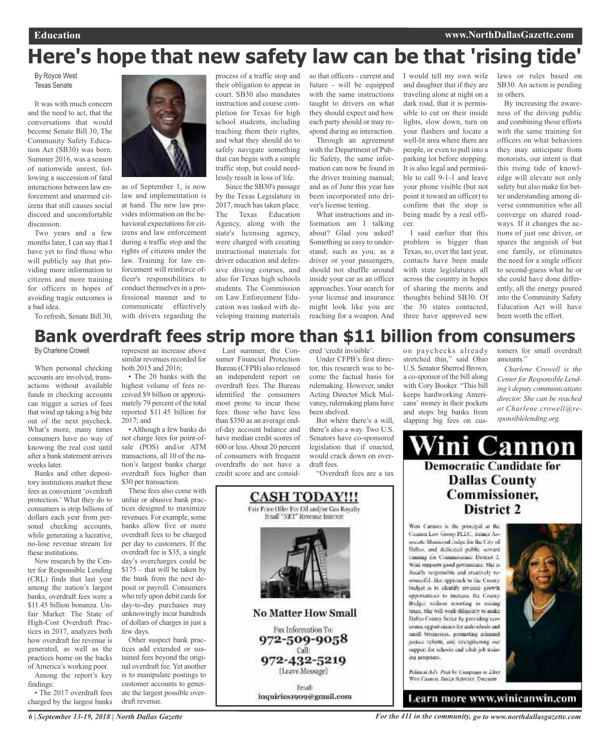## **Here's hope that new safety law can be that 'rising tide'**

By Royce West Texas Senate

It was with much concern and the need to act, that the conversations that would become Senate Bill 30, The Community Safety Education Act (SB30) was born. Summer 2016, was a season of nationwide unrest, following a succession of fatal interactions between law enforcement and unarmed citizens that still causes social discord and uncomfortable discussion.

Two years and a few months later, I can say that I have yet to find those who will publicly say that providing more information to citizens and more training for officers in hopes of avoiding tragic outcomes is a bad idea. To refresh, Senate Bill 30,

as of September 1, is now law and implementation is at hand. The new law provides information on the behavioral expectations for citizens and law enforcement during a traffic stop and the rights of citizens under the law. Training for law enforcement will reinforce officer's responsibilities to conduct themselves in a professional manner and to communicate effectively with drivers regarding the process of a traffic stop and their obligation to appear in court. SB30 also mandates instruction and course completion for Texas for high school students, including teaching them their rights, and what they should do to safely navigate something that can begin with a simple traffic stop, but could needlessly result in loss of life.

Since the SB30's passage by the Texas Legislature in 2017, much has taken place. The Texas Education Agency, along with the state's licensing agency, were charged with creating instructional materials for driver education and defensive driving courses, and also for Texas high schools students. The Commission on Law Enforcement Education was tasked with developing training materials

so that officers - current and future - will be equipped with the same instructions taught to drivers on what they should expect and how each party should or may respond during an interaction.

Through an agreement with the Department of Public Safety, the same information can now be found in the driver training manual; and as of June this year has been incorporated into driver's license testing.

What instructions and information am I talking about? Glad you asked! Something as easy to understand; such as you, as a driver or your passengers, should not shuffle around inside your car as an officer approaches. Your search for your license and insurance might look like you are reaching for a weapon. And

I would tell my own wife and daughter that if they are traveling alone at night on a dark road, that it is permissible to cut on their inside lights, slow down, turn on your flashers and locate a well-lit area where there are people, or even to pull into a parking lot before stopping. It is also legal and permissible to call 9-1-1 and leave your phone visible (but not point it toward an officer) to confirm that the stop is being made by a real officer.

I said earlier that this problem is bigger than Texas, so, over the last year, contacts have been made with state legislatures all across the country in hopes of sharing the merits and thoughts behind SB30. Of the 30 states contacted, three have approved new

stretched thin," said Ohio U.S. Senator Sherrod Brown, a co-sponsor of the bill along with Cory Booker. "This bill keeps hardworking Americans' money in their pockets and stops big banks from slapping big fees on cuslaws or rules based on SB30. An action is pending in others.

By increasing the awareness of the driving public and combining those efforts with the same training for officers on what behaviors they may anticipate from motorists, our intent is that this rising tide of knowledge will elevate not only safety but also make for better understanding among diverse communities who all converge on shared roadways. If it changes the actions of just one driver, or spares the anguish of but one family, or eliminates the need for a single officer to second-guess what he or she could have done differently, all the energy poured into the Community Safety Education Act will have been worth the effort.

## on paychecks already **Bank overdraft fees strip more than \$11 billion from consumers**

By Charlene Crowell

When personal checking accounts are involved, transactions without available funds in checking accounts can trigger a series of fees that wind up taking a big bite out of the next paycheck. What's more, many times consumers have no way of knowing the real cost until after a bank statement arrives weeks later.

Banks and other depository institutions market these fees as convenient 'overdraft protection.' What they do to consumers is strip billions of dollars each year from personal checking accounts, while generating a lucrative, no-lose revenue stream for these institutions.

New research by the Center for Responsible Lending (CRL) finds that last year among the nation's largest banks, overdraft fees were a \$11.45 billion bonanza. Unfair Market: The State of High-Cost Overdraft Practices in 2017, analyzes both how overdraft fee revenue is generated, as well as the practices borne on the backs of America's working poor.

Among the report's key findings:

• The 2017 overdraft fees charged by the largest banks

represent an increase above similar revenues recorded for both 2015 and 2016;

• The 20 banks with the highest volume of fees received \$9 billion or approximately 79 percent of the total reported \$11.45 billion for  $2017$ ; and

• Although a few banks do not charge fees for point-ofsale (POS) and/or ATM transactions, all 10 of the nation's largest banks charge overdraft fees higher than \$30 per transaction.

These fees also come with unfair or abusive bank practices designed to maximize revenues. For example, some banks allow five or more overdraft fees to be charged per day to customers. If the overdraft fee is \$35, a single day's overcharges could be \$175 – that will be taken by the bank from the next deposit or payroll. Consumers who rely upon debit cards for day-to-day purchases may unknowingly incur hundreds of dollars of charges in just a few days.

Other suspect bank practices add extended or sustained fees beyond the original overdraft fee. Yet another is to manipulate postings to customer accounts to generate the largest possible overdraft revenue.

Last summer, the Consumer Financial Protection Bureau (CFPB) also released an independent report on overdraft fees. The Bureau identified the consumers most prone to incur these fees: those who have less than \$350 as an average endof-day account balance and have median credit scores of 600 or less.About 20 percent of consumers with frequent overdrafts do not have a credit score and are considered 'credit invisible'.

Under CFPB's first director, this research was to become the factual basis for rulemaking. However, under Acting Director Mick Mulvaney, rulemaking plans have been shelved.

But where there's a will, there's also a way. Two U.S. Senators have co-sponsored legislation that if enacted, would crack down on overdraft fees.

"Overdraft fees are a tax



tomers for small overdraft amounts."

*Charlene Crowell is the Centerfor Responsible Lending's deputy communications director. She can be reached at Charlene.crowell@responsiblelending.org.*

**Cannon** m **Democratic Candidate for Dallas County** Commissioner, District 2

Wini Cannon is the principal at the Cannon Law Group PLLC, former Assecrete Mentered Judge for the City of Dallas, and dedicated public servent framing for Commissioner District 2. Wini surgeorts nood novemance. She isfiscally restsmable and creatively resenateful. Her opptunch to the Countybudget in to identify revenue growth opportunities to increase the County: Bodget without resorting to mising taxes. She will week dilinearly to make Dallas County befur by providing cennomic opportunnes for individuals and small businesses, promoting criminal justice ruform, and strengthening our support for schools and adult job training programs.



Pelineal Adv. Post by Campagn to Liber. Wey Cannot, Junior Schwarz, Treasurer

Learn more www.winicanwin.com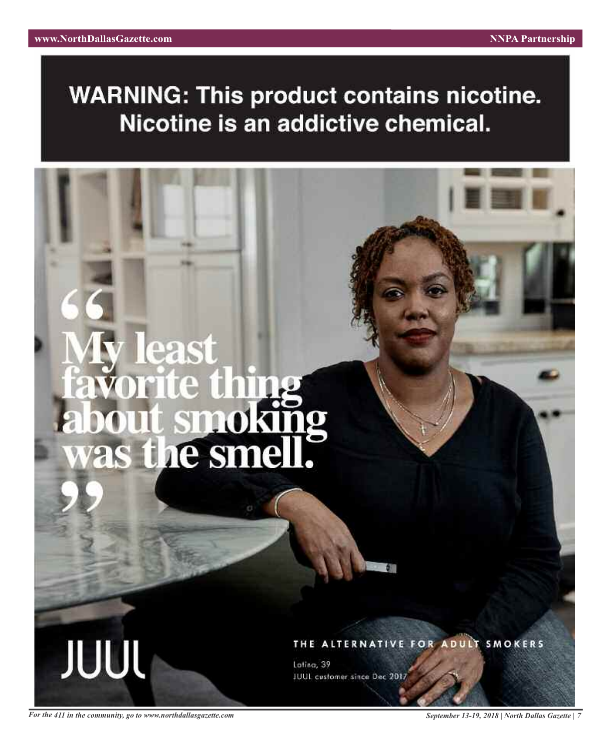## **WARNING: This product contains nicotine.** Nicotine is an addictive chemical.

## 28 was the smel

THE ALTERNATIVE FOR ADULT SMOKERS

Latina, 39 JUUL customer since Dec 2017

For the 411 in the community, go to www.northdallasgazette.com September 13-19, 2018 | North Dallas Gazette | 7

**JUUL**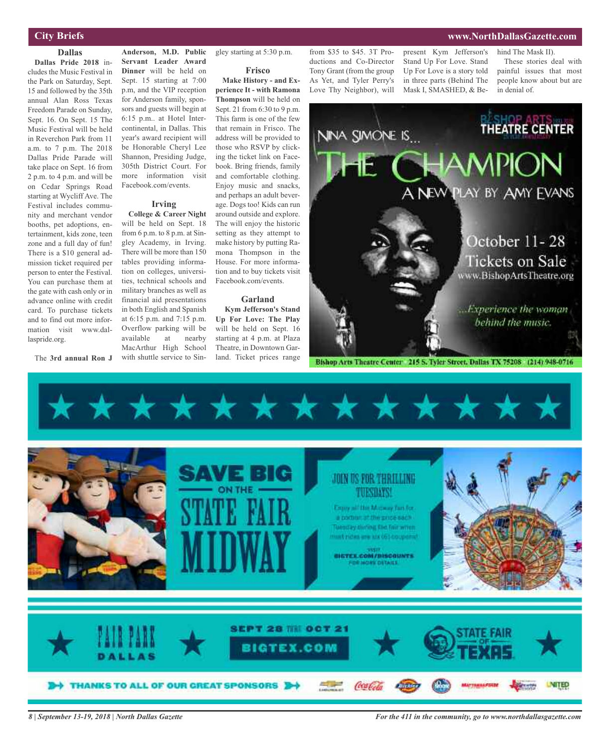## **City Briefs**

### **Dallas**

**Dallas Pride 2018** includes the Music Festival in the Park on Saturday, Sept. 15 and followed by the 35th annual Alan Ross Texas Freedom Parade on Sunday, Sept. 16. On Sept. 15 The Music Festival will be held in Reverchon Park from 11 a.m. to 7 p.m. The 2018 Dallas Pride Parade will take place on Sept. 16 from 2 p.m. to 4 p.m. and will be on Cedar Springs Road starting at Wycliff Ave. The Festival includes community and merchant vendor booths, pet adoptions, entertainment, kids zone, teen zone and a full day of fun! There is a \$10 general admission ticket required per person to enter the Festival. You can purchase them at the gate with cash only or in advance online with credit card. To purchase tickets and to find out more information visit www.dallaspride.org.

The **3rd annual Ron J**

**Anderson, M.D. Public Servant Leader Award Dinner** will be held on Sept. 15 starting at 7:00 p.m, and the VIP reception for Anderson family, sponsors and guests will begin at 6:15 p.m.. at Hotel Intercontinental, in Dallas. This year's award recipient will be Honorable Cheryl Lee Shannon, Presiding Judge, 305th District Court. For more information visit Facebook.com/events.

### **Irving**

**College & Career Night** will be held on Sept. 18 from 6 p.m. to 8 p.m. at Singley Academy, in Irving. There will be more than 150 tables providing information on colleges, universities, technical schools and military branches as well as financial aid presentations in both English and Spanish at 6:15 p.m. and 7:15 p.m. Overflow parking will be available at nearby MacArthur High School with shuttle service to Sin-

## gley starting at 5:30 p.m.

### **Frisco**

**Make History - and Experience It - with Ramona Thompson** will be held on Sept. 21 from 6:30 to 9 p.m. This farm is one of the few that remain in Frisco. The address will be provided to those who RSVP by clicking the ticket link on Facebook. Bring friends, family and comfortable clothing. Enjoy music and snacks, and perhaps an adult beverage. Dogs too! Kids can run around outside and explore. The will enjoy the historic setting as they attempt to make history by putting Ramona Thompson in the House. For more information and to buy tickets visit Facebook.com/events.

### **Garland**

**Kym Jefferson's Stand Up For Love: The Play** will be held on Sept. 16 starting at 4 p.m. at Plaza Theatre, in Downtown Garland. Ticket prices range

from \$35 to \$45. 3T Productions and Co-Director Tony Grant (from the group As Yet, and Tyler Perry's Love Thy Neighbor), will

present Kym Jefferson's hind The Mask II). Stand Up For Love. Stand Up For Love is a story told in three parts (Behind The Mask I, SMASHED, & Be-

These stories deal with painful issues that most people know about but are in denial of.



Bishop Arts Theatre Center 215 S. Tyler Street, Dallas TX 75208 (214) 948-0716



*8 | September 13-19, 2018 | North Dallas Gazette*

*For the 411 in the community, go to www.northdallasgazette.com*

## **www.NorthDallasGazette.com**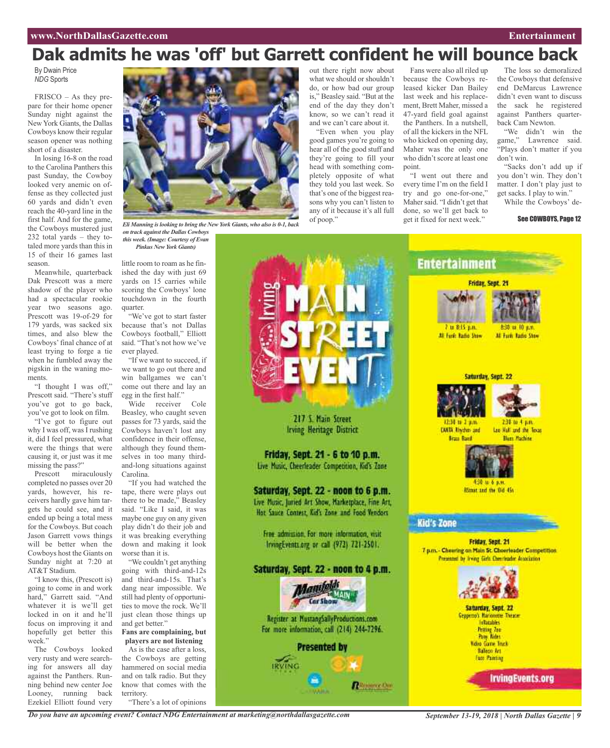## **Dak admits he was 'off' but Garrett confident he will bounce back**

By Dwain Price *NDG* Sports

FRISCO – As they prepare for their home opener Sunday night against the New York Giants, the Dallas Cowboys know their regular season opener was nothing short of a disaster.

In losing 16-8 on the road to the Carolina Panthers this past Sunday, the Cowboy looked very anemic on offense as they collected just 60 yards and didn't even reach the 40-yard line in the first half. And for the game, the Cowboys mustered just 232 total yards – they totaled more yards than this in 15 of their 16 games last season.

Meanwhile, quarterback Dak Prescott was a mere shadow of the player who had a spectacular rookie year two seasons ago. Prescott was 19-of-29 for 179 yards, was sacked six times, and also blew the Cowboys'final chance of at least trying to forge a tie when he fumbled away the pigskin in the waning moments.

"I thought I was off," Prescott said. "There's stuff you've got to go back, you've got to look on film.

"I've got to figure out why I was off, was I rushing it, did I feel pressured, what were the things that were causing it, or just was it me missing the pass?"

Prescott miraculously completed no passes over 20 yards, however, his receivers hardly gave him targets he could see, and it ended up being a total mess for the Cowboys. But coach Jason Garrett vows things will be better when the Cowboys host the Giants on Sunday night at 7:20 at AT&T Stadium.

"I know this, (Prescott is) going to come in and work hard," Garrett said. "And whatever it is we'll get locked in on it and he'll focus on improving it and hopefully get better this week."

The Cowboys looked very rusty and were searching for answers all day against the Panthers. Running behind new center Joe Looney, running back Ezekiel Elliott found very



*Eli Manning islooking to bring the New York Giants, who also is 0-1, back on track against the Dallas Cowboys*

*this week. (Image: Courtesy of Evan Pinkus New York Giants)*

little room to roam as he finished the day with just 69 yards on 15 carries while scoring the Cowboys' lone touchdown in the fourth quarter.

"We've got to start faster because that's not Dallas Cowboys football," Elliott said. "That's not how we've ever played.

"If we want to succeed, if we want to go out there and win ballgames we can't come out there and lay an egg in the first half."

Wide receiver Cole Beasley, who caught seven passes for 73 yards, said the Cowboys haven't lost any confidence in their offense, although they found themselves in too many thirdand-long situations against Carolina.

"If you had watched the tape, there were plays out there to be made," Beasley said. "Like I said, it was maybe one guy on any given play didn't do their job and it was breaking everything down and making it look worse than it is.

"We couldn't get anything going with third-and-12s and third-and-15s. That's dang near impossible. We still had plenty of opportunities to move the rock. We'll just clean those things up and get better."

### **Fans are complaining, but players are not listening**

As is the case after a loss, the Cowboys are getting hammered on social media and on talk radio. But they know that comes with the territory. "There's a lot of opinions

out there right now about what we should or shouldn't do, or how bad our group is," Beasley said. "But at the end of the day they don't know, so we can't read it and we can't care about it.

"Even when you play good games you're going to hear all of the good stuff and they're going to fill your head with something completely opposite of what they told you last week. So that's one of the biggest reasons why you can't listen to any of it because it's all full of poop."

Fans were also all riled up because the Cowboys released kicker Dan Bailey last week and his replacement, Brett Maher, missed a 47-yard field goal against the Panthers. In a nutshell, of all the kickers in the NFL who kicked on opening day, Maher was the only one who didn't score at least one point.

"I went out there and every time I'm on the field I try and go one-for-one," Maher said. "I didn't get that done, so we'll get back to get it fixed for next week."

The loss so demoralized the Cowboys that defensive end DeMarcus Lawrence didn't even want to discuss the sack he registered against Panthers quarterback Cam Newton.

"We didn't win the game," Lawrence said. "Plays don't matter if you don't win.

"Sacks don't add up if you don't win. They don't matter. I don't play just to get sacks. I play to win."

While the Cowboys' de-

See COWBOYS, Page 12



217 S. Main Street Irving Heritage District

Friday, Sept. 21 - 6 to 10 p.m. Live Music, Cheerleader Competition, Kid's Zone

Saturday, Sept. 22 - noon to 6 p.m.

Live Music, Juried Art Show, Marketplace, Fine Art, Hot Sauce Contest, Kid's Zone and Food Vendors

Free admission, For more information, wsit-IrvingEvents.org or call (972) 721-2501.

## Saturday, Sept. 22 - noon to 4 p.m.





*Do you have an upcoming event? Contact NDG Entertainment at marketing@northdallasgazette.com*

*September 13-19, 2018 | North Dallas Gazette | 9*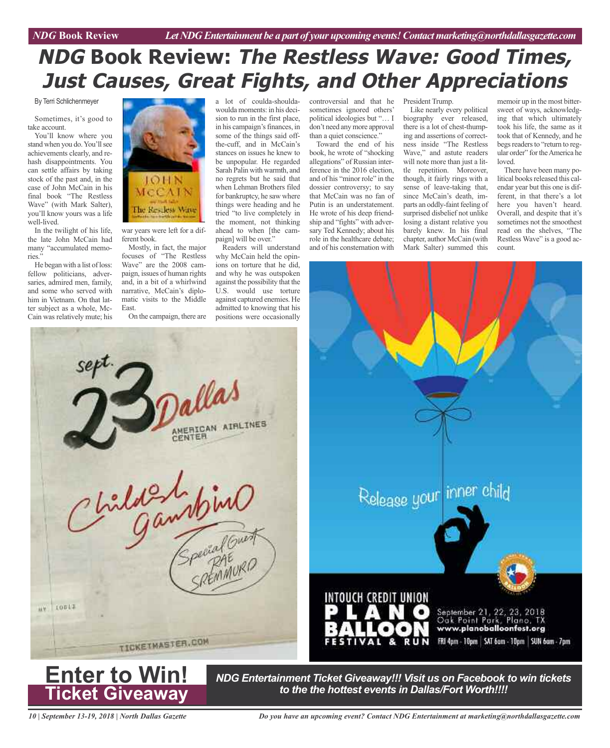## **NDG Book Review: The Restless Wave: Good Times, Just Causes, Great Fights, and Other Appreciations**

By Terri Schlichenmeyer

Sometimes, it's good to take account.

You'll know where you stand when you do. You'll see achievements clearly, and rehash disappointments. You can settle affairs by taking stock of the past and, in the case of John McCain in his final book "The Restless Wave" (with Mark Salter), you'll know yours was a life well-lived.

In the twilight of his life, the late John McCain had many "accumulated memories."

He began with a list of loss: fellow politicians, adversaries, admired men, family, and some who served with him in Vietnam. On that latter subject as a whole, Mc-Cain was relatively mute; his



war years were left for a different book.

Mostly, in fact, the major focuses of "The Restless Wave" are the 2008 campaign, issues of human rights and, in a bit of a whirlwind narrative, McCain's diplomatic visits to the Middle East.

On the campaign, there are

a lot of coulda-shouldawoulda moments: in his decision to run in the first place, in his campaign's finances, in some of the things said offthe-cuff, and in McCain's stances on issues he knew to be unpopular. He regarded Sarah Palin with warmth, and no regrets but he said that when Lehman Brothers filed for bankruptcy, he saw where things were heading and he tried "to live completely in the moment, not thinking ahead to when [the campaign] will be over."

Readers will understand why McCain held the opinions on torture that he did, and why he was outspoken against the possibility that the U.S. would use torture against captured enemies. He admitted to knowing that his positions were occasionally controversial and that he sometimes ignored others' political ideologies but "… I don't need any more approval than a quiet conscience."

Toward the end of his book, he wrote of "shocking allegations" of Russian interference in the 2016 election, and of his "minor role" in the dossier controversy; to say that McCain was no fan of Putin is an understatement. He wrote of his deep friendship and "fights" with adversary Ted Kennedy; about his role in the healthcare debate; and of his consternation with

President Trump. Like nearly every political biography ever released, there is a lot of chest-thumping and assertions of correctness inside "The Restless Wave," and astute readers

will note more than just a little repetition. Moreover, though, it fairly rings with a sense of leave-taking that, since McCain's death, imparts an oddly-faint feeling of surprised disbelief not unlike losing a distant relative you barely knew. In his final chapter, author McCain (with Mark Salter) summed this

memoir up in the most bittersweet of ways, acknowledging that which ultimately took his life, the same as it took that of Kennedy, and he begs readers to "return to regular order" for the America he loved.

There have been many political books released this calendar year but this one is different, in that there's a lot here you haven't heard. Overall, and despite that it's sometimes not the smoothest read on the shelves, "The Restless Wave" is a good account.





*NDG Entertainment Ticket Giveaway!!! Visit us on Facebook to win tickets to the the hottest events in Dallas/Fort Worth!!!!*

*10 | September 13-19, 2018 | North Dallas Gazette*

**Ticket Giveaway**

*Do you have an upcoming event? Contact NDG Entertainment at marketing@northdallasgazette.com*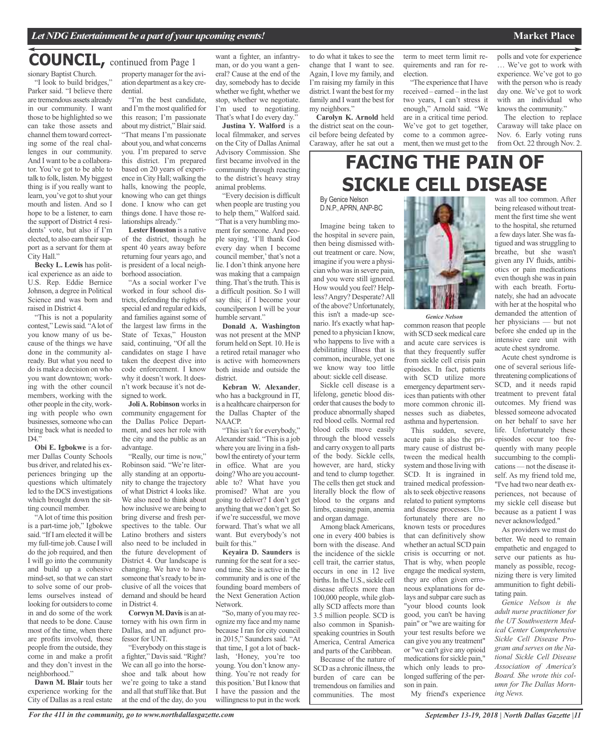## **COUNCIL,** continued from Page <sup>1</sup>

sionary Baptist Church. "I look to build bridges,"

Parker said. "I believe there are tremendous assets already in our community. I want those to be highlighted so we can take those assets and channel them toward correcting some of the real challenges in our community. And I want to be a collaborator. You've got to be able to talk to folk, listen. My biggest thing is if you really want to learn, you've got to shut your mouth and listen. And so I hope to be a listener, to earn the support of District 4 residents' vote, but also if I'm elected, to also earn their support as a servant for them at City Hall."

**Becky L. Lewis** has political experience as an aide to U.S. Rep. Eddie Bernice Johnson, a degree in Political Science and was born and raised in District 4.

"This is not a popularity contest," Lewissaid. "Alot of you know many of us because of the things we have done in the community already. But what you need to do is make a decision on who you want downtown; working with the other council members, working with the other people in the city, working with people who own businesses, someone who can bring back what is needed to  $D4$ .

**Obi E. Igbokwe** is a former Dallas County Schools bus driver, and related his experiences bringing up the questions which ultimately led to the DCS investigations which brought down the sitting council member.

"A lot of time this position is a part-time job," Igbokwe said. "IfI am elected it will be my full-time job.Cause I will do the job required, and then I will go into the community and build up a cohesive mind-set, so that we can start to solve some of our problems ourselves instead of looking for outsiders to come in and do some of the work that needs to be done. Cause most of the time, when there are profits involved, those people from the outside, they come in and make a profit and they don't invest in the neighborhood."

**Dawn M. Blair** touts her experience working for the City of Dallas as a real estate

property manager for the aviation department as a key credential.

"I'm the best candidate, and I'm the most qualified for this reason; I'm passionate about my district," Blair said. "That means I'm passionate about you, and what concerns you. I'm prepared to serve this district. I'm prepared based on 20 years of experience inCity Hall; walking the halls, knowing the people, knowing who can get things done. I know who can get things done. I have those relationships already."

**Lester Houston** is a native of the district, though he spent 40 years away before returning four years ago, and is president of a local neighborhood association.

"As a social worker I've worked in four school districts, defending the rights of special ed and regular ed kids, and families against some of the largest law firms in the State of Texas," Houston said, continuing, "Of all the candidates on stage I have taken the deepest dive into code enforcement. I know why it doesn't work. It doesn't work because it's not designed to work.

**JoliA. Robinson** worksin community engagement for the Dallas Police Department, and sees her role with the city and the public as an advantage.

"Really, our time is now," Robinson said. "We're literally standing at an opportunity to change the trajectory of what District 4 looks like. We also need to think about how inclusive we are being to bring diverse and fresh perspectives to the table. Our Latino brothers and sisters also need to be included in the future development of District 4. Our landscape is changing. We have to have someone that's ready to be inclusive of all the voices that demand and should be heard in District 4.

**Corwyn M. Davis**is an attorney with his own firm in Dallas, and an adjunct professor for UNT.

"Everybody on this stage is a fighter," Davissaid. "Right? We can all go into the horseshoe and talk about how we're going to take a stand and all that stuff like that. But at the end of the day, do you

want a fighter, an infantryman, or do you want a general? Cause at the end of the day, somebody has to decide whether we fight, whether we stop, whether we negotiate. I'm used to negotiating. That's what I do every day.'

**Justina Y. Walford** is a local filmmaker, and serves on the City of Dallas Animal Advisory Commission. She first became involved in the community through reacting to the district's heavy stray animal problems.

"Every decision is difficult when people are trusting you to help them," Walford said. "That is a very humbling moment for someone. And people saying, 'I'll thank God every day when I become council member,'that's not a lie. I don't think anyone here was making that a campaign thing. That's the truth. This is a difficult position. So I will say this; if I become your councilperson I will be your humble servant."

**Donald A. Washington** was not present at the MNP forum held on Sept. 10. He is a retired retail manager who is active with homeowners both inside and outside the district.

**Kebran W. Alexander**, who has a background in IT, is a healthcare chairperson for the Dallas Chapter of the NAACP.

"This isn't for everybody," Alexander said. "This is a job where you are living in a fishbowl the entirety of your term in office. What are you doing?Who are you accountable to? What have you promised? What are you going to deliver? I don't get anything that we don't get. So if we're successful, we move forward. That's what we all want. But everybody's not built for this."

**Keyaira D. Saunders** is running for the seat for a second time. She is active in the community and is one of the founding board members of the Next Generation Action Network.

"So, many of you may recognize my face and my name because I ran for city council in 2015," Saunders said. "At that time, I got a lot of backlash, 'Honey, you're too young. You don't know anything. You're not ready for this position.'ButI know that I have the passion and the willingness to put in the work to do what it takes to see the change that I want to see. Again, I love my family, and I'm raising my family in this district. I want the best for my family and I want the best for my neighbors."

**Carolyn K. Arnold** held the district seat on the council before being defeated by Caraway, after he sat out a term to meet term limit requirements and ran for reelection.

"The experience that I have received – earned – in the last two years, I can't stress it enough," Arnold said. "We are in a critical time period. We've got to get together, come to a common agreement, then we must get to the polls and vote for experience … We've got to work with experience. We've got to go with the person who is ready day one. We've got to work with an individual who knows the community."

The election to replace Caraway will take place on Nov. 6. Early voting runs from Oct. 22 through Nov. 2.

## **FACING THE PAIN OF SICKLE CELL DISEASE**

By Genice Nelson D.N.P., APRN, ANP-BC

Imagine being taken to the hospital in severe pain, then being dismissed without treatment or care. Now, imagine if you were a physician who was in severe pain, and you were still ignored. How would you feel? Helpless?Angry? Desperate?All of the above? Unfortunately, this isn't a made-up scenario. It's exactly what happened to a physician I know, who happens to live with a debilitating illness that is common, incurable, yet one we know way too little about: sickle cell disease.

Sickle cell disease is a lifelong, genetic blood disorder that causes the body to produce abnormally shaped red blood cells. Normal red blood cells move easily through the blood vessels and carry oxygen to all parts of the body. Sickle cells, however, are hard, sticky and tend to clump together. The cells then get stuck and literally block the flow of blood to the organs and limbs, causing pain, anemia and organ damage.

Among black Americans, one in every 400 babies is born with the disease. And the incidence of the sickle cell trait, the carrier status, occurs in one in 12 live births. In the U.S., sickle cell disease affects more than 100,000 people, while globally SCD affects more than 3.5 million people. SCD is also common in Spanishspeaking countries in South America, Central America and parts of the Caribbean.

Because of the nature of SCD as a chronic illness, the burden of care can be tremendous on families and communities. The most



common reason that people with SCD seek medical care and acute care services is

that they frequently suffer from sickle cell crisis pain episodes. In fact, patients with SCD utilize more emergency department services than patients with other more common chronic illnesses such as diabetes, asthma and hypertension.

This sudden, severe, acute pain is also the primary cause of distrust between the medical health system and those living with SCD. It is ingrained in trained medical professionalsto seek objective reasons related to patient symptoms and disease processes. Unfortunately there are no known tests or procedures that can definitively show whether an actual SCD pain crisis is occurring or not. That is why, when people engage the medical system, they are often given erroneous explanations for delays and subpar care such as "your blood counts look good, you can't be having pain" or "we are waiting for your test results before we can give you any treatment" or "we can't give any opioid medications for sickle pain," which only leads to prolonged suffering of the person in pain.

was all too common. After being released without treatment the first time she went to the hospital, she returned a few dayslater. She wasfatigued and was struggling to breathe, but she wasn't given any IV fluids, antibiotics or pain medications even though she was in pain with each breath. Fortunately, she had an advocate with her at the hospital who demanded the attention of her physicians — but not before she ended up in the intensive care unit with acute chest syndrome.

Acute chest syndrome is one of several serious lifethreatening complications of SCD, and it needs rapid treatment to prevent fatal outcomes. My friend was blessed someone advocated on her behalf to save her life. Unfortunately these episodes occur too frequently with many people succumbing to the complications — not the disease itself. As my friend told me, "I've had two near death experiences, not because of my sickle cell disease but because as a patient I was never acknowledged."

As providers we must do better. We need to remain empathetic and engaged to serve our patients as humanely as possible, recognizing there is very limited ammunition to fight debilitating pain.

*Genice Nelson is the adult nurse practitioner for the UT Southwestern Medical Center Comprehensive Sickle Cell Disease Program and serves on the National Sickle Cell Disease Association of America's Board. She wrote this column for The Dallas Morning News.*

My friend's experience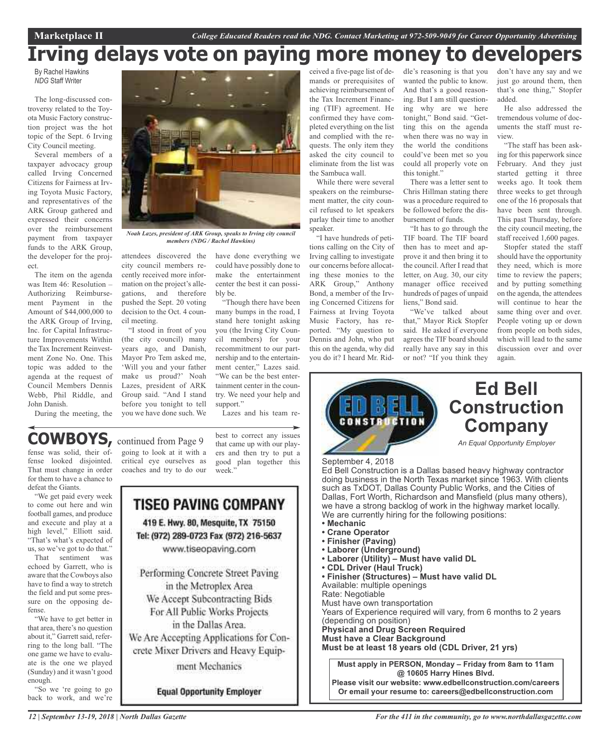## **Irving delays vote on paying more money to developers**

By Rachel Hawkins *NDG* Staff Writer

The long-discussed controversy related to the Toyota Music Factory construction project was the hot topic of the Sept. 6 Irving City Council meeting.

Several members of a taxpayer advocacy group called Irving Concerned Citizens for Fairness at Irving Toyota Music Factory, and representatives of the ARK Group gathered and expressed their concerns over the reimbursement payment from taxpayer funds to the ARK Group, the developer for the project.

The item on the agenda was Item 46: Resolution – Authorizing Reimbursement Payment in the Amount of \$44,000,000 to the ARK Group of Irving, Inc. for Capital Infrastructure Improvements Within the Tax Increment Reinvestment Zone No. One. This topic was added to the agenda at the request of Council Members Dennis Webb, Phil Riddle, and John Danish.

During the meeting, the



*Noah Lazes, president of ARK Group, speaks to Irving city council members (NDG / Rachel Hawkins)*

attendees discovered the city council members recently received more information on the project's allegations, and therefore pushed the Sept. 20 voting decision to the Oct. 4 council meeting.

"I stood in front of you (the city council) many years ago, and Danish, Mayor Pro Tem asked me, 'Will you and your father make us proud?' Noah Lazes, president of ARK Group said. "And I stand before you tonight to tell you we have done such. We

have done everything we could have possibly done to make the entertainment center the best it can possibly be.

"Though there have been many bumps in the road, I stand here tonight asking you (the Irving City Council members) for your recommitment to our partnership and to the entertainment center," Lazes said. "We can be the best entertainment center in the country. We need your help and support."

Lazes and his team re-

## **COWBOYS,** continued from Page <sup>9</sup>

fense was solid, their offense looked disjointed. That must change in order for them to have a chance to defeat the Giants.

"We get paid every week to come out here and win football games, and produce and execute and play at a high level," Elliott said. "That's what's expected of us, so we've got to do that."

That sentiment was echoed by Garrett, who is aware that the Cowboys also have to find a way to stretch the field and put some pressure on the opposing defense.

"We have to get better in that area, there's no question about it," Garrett said, referring to the long ball. "The one game we have to evaluate is the one we played (Sunday) and it wasn't good enough.

"So we 're going to go back to work, and we're

going to look at it with a critical eye ourselves as coaches and try to do our

best to correct any issues that came up with our players and then try to put a good plan together this week."



ceived a five-page list of demands or prerequisites of achieving reimbursement of the Tax Increment Financing (TIF) agreement. He confirmed they have completed everything on the list and complied with the requests. The only item they asked the city council to eliminate from the list was the Sambuca wall.

While there were several speakers on the reimbursement matter, the city council refused to let speakers parlay their time to another speaker.

"I have hundreds of petitions calling on the City of Irving calling to investigate our concerns before allocating these monies to the ARK Group," Anthony Bond, a member of the Irving Concerned Citizens for Fairness at Irving Toyota Music Factory, has reported. "My question to Dennis and John, who put this on the agenda, why did you do it? I heard Mr. Riddle's reasoning is that you wanted the public to know. And that's a good reasoning. But I am still questioning why are we here tonight," Bond said. "Getting this on the agenda when there was no way in the world the conditions could've been met so you could all properly vote on this tonight."

There was a letter sent to Chris Hillman stating there was a procedure required to be followed before the disbursement of funds.

"It has to go through the TIF board. The TIF board then has to meet and approve it and then bring it to the council. After I read that letter, on Aug. 30, our city manager office received hundreds of pages of unpaid liens," Bond said.

"We've talked about that," Mayor Rick Stopfer said. He asked if everyone agrees the TIF board should really have any say in this or not? "If you think they

don't have any say and we just go around them, then that's one thing," Stopfer added.

He also addressed the tremendous volume of documents the staff must review.

"The staff has been asking for this paperwork since February. And they just started getting it three weeks ago. It took them three weeks to get through one of the 16 proposals that have been sent through. This past Thursday, before the city council meeting, the staff received 1,600 pages.

Stopfer stated the staff should have the opportunity they need, which is more time to review the papers; and by putting something on the agenda, the attendees will continue to hear the same thing over and over. People voting up or down from people on both sides, which will lead to the same discussion over and over again.

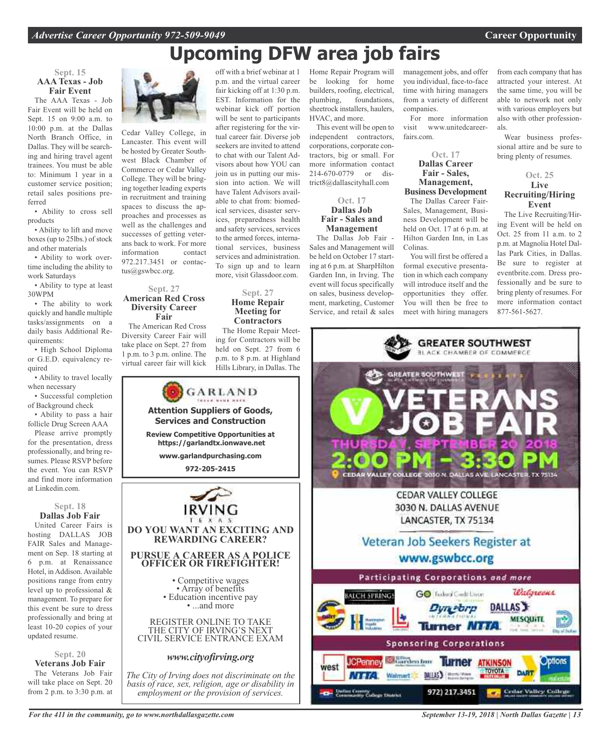## **Upcoming DFW area job fairs**

off with a brief webinar at 1 p.m. and the virtual career fair kicking off at 1:30 p.m. EST. Information for the webinar kick off portion will be sent to participants after registering for the virtual career fair. Diverse job seekers are invited to attend to chat with our Talent Advisors about how YOU can join us in putting our mission into action. We will have Talent Advisors available to chat from: biomedical services, disaster services, preparedness health and safety services, services to the armed forces, international services, business services and administration. To sign up and to learn more, visit Glassdoor.com.

**Sept. 27 Home Repair Meeting for Contractors** The Home Repair Meeting for Contractors will be held on Sept. 27 from 6 p.m. to 8 p.m. at Highland Hills Library, in Dallas. The

### **Sept. 15 AAA Texas - Job Fair Event**

The AAA Texas - Job Fair Event will be held on Sept. 15 on 9:00 a.m. to 10:00 p.m. at the Dallas North Branch Office, in Dallas. They will be searching and hiring travel agent trainees. You must be able to: Minimum 1 year in a customer service position; retail sales positions preferred

• Ability to cross sell products

• Ability to lift and move boxes (up to 25lbs.) of stock and other materials

• Ability to work overtime including the ability to work Saturdays

• Ability to type at least 30WPM

• The ability to work quickly and handle multiple tasks/assignments on a daily basis Additional Requirements:

• High School Diploma or G.E.D. equivalency required

• Ability to travel locally when necessary

• Successful completion of Background check

• Ability to pass a hair follicle Drug Screen AAA

Please arrive promptly for the presentation, dress professionally, and bring resumes. Please RSVP before the event. You can RSVP and find more information at Linkedin.com.

### **Sept. 18 Dallas Job Fair**

United Career Fairs is hosting DALLAS JOB FAIR Sales and Management on Sep. 18 starting at 6 p.m. at Renaissance Hotel, in Addison. Available positions range from entry level up to professional & management. To prepare for this event be sure to dress professionally and bring at least 10-20 copies of your updated resume.

**Sept. 20 Veterans Job Fair** The Veterans Job Fair

will take place on Sept. 20 from 2 p.m. to 3:30 p.m. at



Cedar Valley College, in Lancaster. This event will be hosted by Greater Southwest Black Chamber of Commerce or Cedar Valley College. They will be bringing together leading experts in recruitment and training spaces to discuss the approaches and processes as well as the challenges and successes of getting veterans back to work. For more information contact 972.217.3451 or contactus@gswbcc.org.

### **Sept. 27 American Red Cross Diversity Career Fair**

The American Red Cross Diversity Career Fair will take place on Sept. 27 from 1 p.m. to 3 p.m. online. The virtual career fair will kick



Home Repair Program will be looking for home builders, roofing, electrical, plumbing, foundations, sheetrock installers, haulers, HVAC, and more.

This event will be open to independent contractors, corporations, corporate contractors, big or small. For more information contact 214-670-0779 or district8@dallascityhall.com

### **Oct. 17 Dallas Job Fair - Sales and Management**

The Dallas Job Fair - Sales and Management will be held on October 17 starting at 6 p.m. at SharpHilton Garden Inn, in Irving. The event will focus specifically on sales, business development, marketing, Customer Service, and retail & sales

management jobs, and offer you individual, face-to-face time with hiring managers from a variety of different companies.

For more information visit www.unitedcareerfairs.com.

## **Oct. 17 Dallas Career Fair - Sales, Management,**

**Business Development** The Dallas Career Fair-

Sales, Management, Business Development will be held on Oct. 17 at 6 p.m. at Hilton Garden Inn, in Las Colinas.

You will first be offered a formal executive presentation in which each company will introduce itself and the opportunities they offer. You will then be free to meet with hiring managers from each company that has attracted your interest. At the same time, you will be able to network not only with various employers but also with other professionals.

Wear business professional attire and be sure to bring plenty of resumes.

### **Oct. 25 Live Recruiting/Hiring Event**

The Live Recruiting/Hiring Event will be held on Oct. 25 from 11 a.m. to 2 p.m. at Magnolia Hotel Dallas Park Cities, in Dallas. Be sure to register at eventbrite.com. Dress professionally and be sure to bring plenty of resumes. For more information contact 877-561-5627.



*For the 411 in the community, go to www.northdallasgazette.com*

*September 13-19, 2018 | North Dallas Gazette | 13*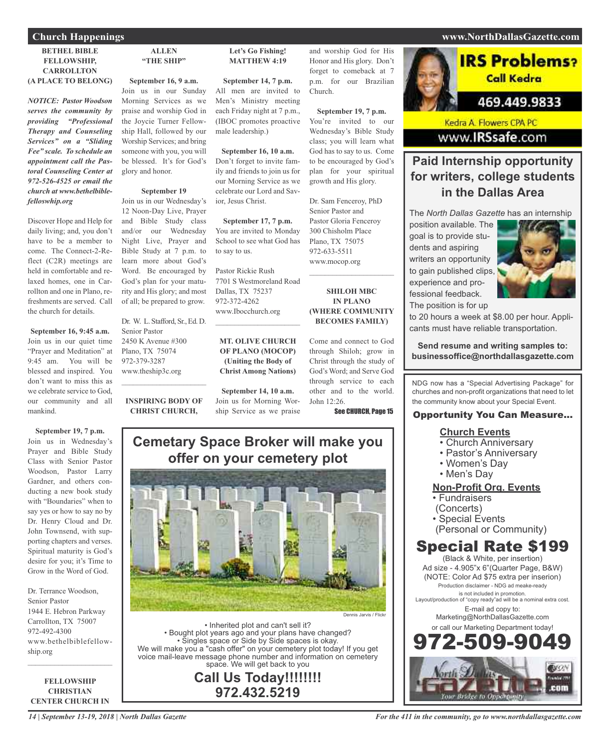### **BETHEL BIBLE FELLOWSHIP, CARROLLTON (A PLACE TO BELONG)**

*NOTICE: Pastor Woodson serves the community by providing "Professional Therapy and Counseling Services" on a "Sliding Fee" scale. To schedule an appointment call the Pastoral Counseling Center at 972-526-4525 or email the church at www.bethelbiblefelloswhip.org*

Discover Hope and Help for daily living; and, you don't have to be a member to come. The Connect-2-Reflect (C2R) meetings are held in comfortable and relaxed homes, one in Carrollton and one in Plano, refreshments are served. Call the church for details.

**September 16, 9:45 a.m.** Join us in our quiet time "Prayer and Meditation" at 9:45 am. You will be blessed and inspired. You don't want to miss this as we celebrate service to God, our community and all mankind.

**September 19, 7 p.m.** Join us in Wednesday's Prayer and Bible Study Class with Senior Pastor Woodson, Pastor Larry Gardner, and others conducting a new book study with "Boundaries" when to say yes or how to say no by Dr. Henry Cloud and Dr. John Townsend, with supporting chapters and verses. Spiritual maturity is God's desire for you; it's Time to Grow in the Word of God.

Dr. Terrance Woodson, Senior Pastor 1944 E. Hebron Parkway Carrollton, TX 75007 972-492-4300 www.bethelbiblefellowship.org

**FELLOWSHIP CHRISTIAN CENTER CHURCH IN**

 $\mathcal{L}=\mathcal{L}^{\mathcal{L}}$  , where  $\mathcal{L}^{\mathcal{L}}$  , we have the set of the set of the set of the set of the set of the set of the set of the set of the set of the set of the set of the set of the set of the set of the set of

### **ALLEN "THE SHIP"**

**September 16, 9 a.m.** Join us in our Sunday Morning Services as we praise and worship God in the Joycie Turner Fellowship Hall, followed by our Worship Services; and bring someone with you, you will be blessed. It's for God's glory and honor.

### **September 19**

Join us in our Wednesday's 12 Noon-Day Live, Prayer and Bible Study class and/or our Wednesday Night Live, Prayer and Bible Study at 7 p.m. to learn more about God's Word. Be encouraged by God's plan for your maturity and His glory; and most of all; be prepared to grow.

Dr. W. L. Stafford, Sr., Ed. D. Senior Pastor 2450 K Avenue #300 Plano, TX 75074 972-379-3287 www.theship3c.org

**INSPIRING BODY OF CHRIST CHURCH,**

 $\overline{\phantom{a}}$  , and the set of the set of the set of the set of the set of the set of the set of the set of the set of the set of the set of the set of the set of the set of the set of the set of the set of the set of the s

### **Let's Go Fishing! MATTHEW 4:19**

**September 14, 7 p.m.** All men are invited to Men's Ministry meeting each Friday night at 7 p.m., (IBOC promotes proactive male leadership.)

### **September 16, 10 a.m.**

Don't forget to invite family and friends to join us for our Morning Service as we celebrate our Lord and Savior, Jesus Christ.

**September 17, 7 p.m.** You are invited to Monday School to see what God has to say to us.

Pastor Rickie Rush 7701 S Westmoreland Road Dallas, TX 75237 972-372-4262 www.Ibocchurch.org

 $\mathcal{L}$  , and the set of the set of the set of the set of the set of the set of the set of the set of the set of the set of the set of the set of the set of the set of the set of the set of the set of the set of the set

**MT. OLIVE CHURCH OF PLANO (MOCOP) (Uniting the Body of Christ Among Nations)**

**September 14, 10 a.m.** Join us for Morning Worship Service as we praise and worship God for His Honor and His glory. Don't forget to comeback at 7 p.m. for our Brazilian Church.

**September 19, 7 p.m.** You're invited to our Wednesday's Bible Study class; you will learn what God has to say to us. Come to be encouraged by God's plan for your spiritual growth and His glory.

Dr. Sam Fenceroy, PhD Senior Pastor and Pastor Gloria Fenceroy 300 Chisholm Place Plano, TX 75075 972-633-5511 www.mocop.org

**SHILOH MBC IN PLANO (WHERE COMMUNITY BECOMES FAMILY)**

 $\mathcal{L}$  , and the set of the set of the set of the set of the set of the set of the set of the set of the set of the set of the set of the set of the set of the set of the set of the set of the set of the set of the set

Come and connect to God through Shiloh; grow in Christ through the study of God's Word; and Serve God through service to each other and to the world. John 12:26.

See CHURCH, Page 15

## **Cemetary Space Broker will make you offer on your cemetery plot**



• Inherited plot and can't sell it? • Bought plot years ago and your plans have changed? • Singles space or Side by Side spaces is okay. We will make you a "cash offer" on your cemetery plot today! If you get voice mail-leave message phone number and information on cemetery space. We will get back to you

**Call Us Today!!!!!!!! 972.432.5219**

## **Church Happenings www.NorthDallasGazette.com**



Kedra A. Flowers CPA PC www.IRSsafe.com

## **Paid Internship opportunity for writers, college students in the Dallas Area**

The *North Dallas Gazette* has an internship

position available. The goal is to provide students and aspiring writers an opportunity to gain published clips, experience and professional feedback. The position is for up



to 20 hours a week at \$8.00 per hour. Applicants must have reliable transportation.

**Send resume and writing samples to: businessoffice@northdallasgazette.com**

NDG now has a "Special Advertising Package" for churches and non-profit organizations that need to let the community know about your Special Event.

## Opportunity You Can Measure...

## **Church Events**

- Church Anniversary
- Pastor's Anniversary
- Women's Day
- Men's Day

## **Non-Profit Org. Events**

- Fundraisers
- (Concerts)
- Special Events
- (Personal or Community)

## Special Rate \$199

(Black & White, per insertion) Ad size - 4.905"x 6"(Quarter Page, B&W) (NOTE: Color Ad \$75 extra per inserion) Production disclaimer - NDG ad meake-ready is not included in promotion. Layout/production of "copy ready"ad will be a nominal extra cost. E-mail ad copy to: Marketing@NorthDallasGazette.com or call our Marketing Department today! 972-509-9049

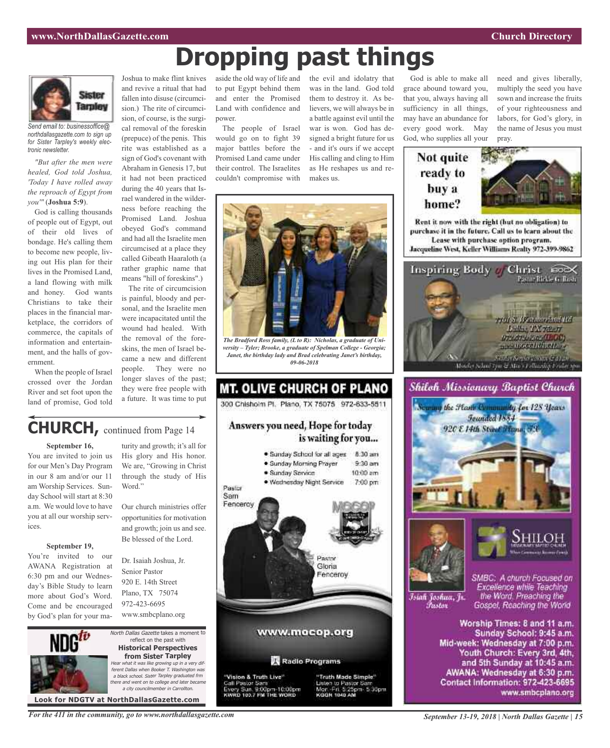need and gives liberally, multiply the seed you have sown and increase the fruits of your righteousness and labors, for God's glory, in the name of Jesus you must

Pasto - Richie G. Tuere

761 S. W. Amerikal Rd. **Luther TX 75297 DTACTA PREALISOR STATE OF THE REAL PROPERTY** 

pray.

Rent it now with the right (but no obligation) to purchase it in the future. Call us to learn about the Lease with purchase option program.

God is able to make all grace abound toward you, that you, always having all sufficiency in all things, may have an abundance for every good work. May God, who supplies all your

> Not quite ready to

> > buy a home?



*Send email to: businessoffice@ northdallasgazette.com to sign up for Sister Tarpley's weekly electronic newsletter.*

*"But after the men were healed, God told Joshua, 'Today I have rolled away the reproach of Egypt from you'"* (**Joshua 5:9**).

God is calling thousands of people out of Egypt, out of their old lives of bondage. He's calling them to become new people, living out His plan for their lives in the Promised Land, a land flowing with milk and honey. God wants Christians to take their places in the financial marketplace, the corridors of commerce, the capitals of information and entertainment, and the halls of government.

When the people of Israel crossed over the Jordan River and set foot upon the land of promise, God told

## Joshua to make flint knives and revive a ritual that had fallen into disuse (circumcision.) The rite of circumcision, of course, is the surgical removal of the foreskin (prepuce) of the penis. This rite was established as a sign of God's covenant with Abraham in Genesis 17, but it had not been practiced during the 40 years that Israel wandered in the wilder-

ness before reaching the Promised Land. Joshua obeyed God's command and had all the Israelite men circumcised at a place they called Gibeath Haaraloth (a rather graphic name that means "hill of foreskins".)

The rite of circumcision is painful, bloody and personal, and the Israelite men were incapacitated until the wound had healed. With the removal of the foreskins, the men of Israel became a new and different people. They were no longer slaves of the past; they were free people with a future. It was time to put

turity and growth; it's all for His glory and His honor. We are, "Growing in Christ through the study of His

Our church ministries offer opportunities for motivation and growth; join us and see. Be blessed of the Lord.

Dr. Isaiah Joshua, Jr. Senior Pastor 920 E. 14th Street Plano, TX 75074 972-423-6695 www.smbcplano.org

aside the old way of life and the evil and idolatry that to put Egypt behind them and enter the Promised Land with confidence and power.

The people of Israel would go on to fight 39 major battles before the Promised Land came under their control. The Israelites couldn't compromise with

was in the land. God told them to destroy it. As believers, we will always be in a battle against evil until the war is won. God has designed a bright future for us - and it's ours if we accept His calling and cling to Him as He reshapes us and remakes us.



**Dropping past things**

*The Bradford Ross family, (L to R): Nicholas, a graduate of University – Tyler; Brooke, a graduate of Spelman College - Georgia; Janet, the birthday lady and Brad celebrating Janet's birthday, 09-06-2018*



to Pastor Sar

Fri 5:25pm 5:30pm

Call Pastor Sam Sun, 9:00pm-10:00pm<br>103.7 FM THE WORD





Worship Times: 8 and 11 a.m. Sunday School: 9:45 a.m. Mid-week: Wednesday at 7:00 p.m. Youth Church: Every 3rd, 4th, and 5th Sunday at 10:45 a.m. AWANA: Wednesday at 6:30 p.m. Contact Information: 972-423-6695 www.smbcplano.org

## **CHURCH,** continued from Page <sup>14</sup>

Word."

### **September 16,**

You are invited to join us for our Men's Day Program in our 8 am and/or our 11 am Worship Services. Sunday School will start at 8:30 a.m. We would love to have you at all our worship services.

### **September 19,**

You're invited to our AWANA Registration at 6:30 pm and our Wednesday's Bible Study to learn more about God's Word. Come and be encouraged by God's plan for your ma-



North Dallas Gazette takes a moment to reflect on the past with **Historical Perspectives from Sister Tarpley** Hear what it was like growing up in <sup>a</sup> very different Dallas when Booker T. Washington was <sup>a</sup> black school. Sister Tarpley graduated frm there and went on to college and later became a city councilmember in Carroll

*For the 411 in the community, go to www.northdallasgazette.com*

*September 13-19, 2018 | North Dallas Gazette | 15*